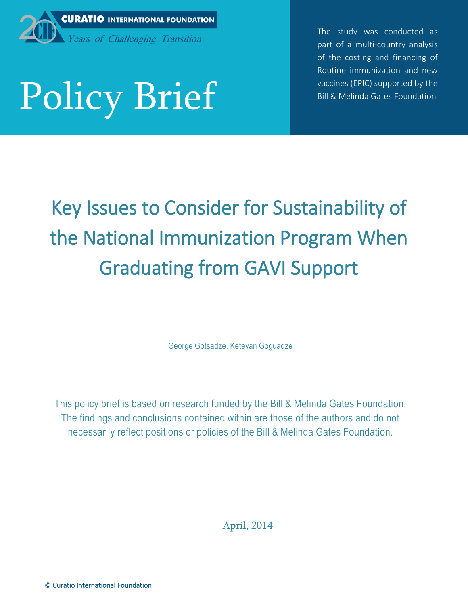

 The study was conducted as part of a multi-country analysis of the costing and financing of Routine immunization and new vaccines (EPIC) supported by the Bill & Melinda Gates Foundation

# 11/6/2014 Policy Brief

Key Issues to Consider for Sustainability of the National Immunization Program When Graduating from GAVI Support

George Gotsadze, Ketevan Goguadze

This policy brief is based on research funded by the Bill & Melinda Gates Foundation. The findings and conclusions contained within are those of the authors and do not necessarily reflect positions or policies of the Bill & Melinda Gates Foundation.

April, 2014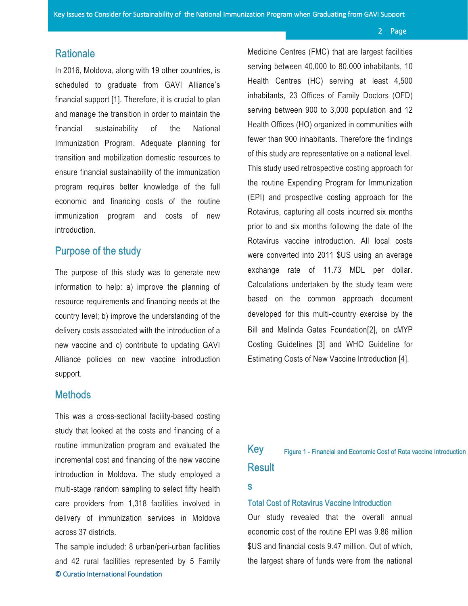## **Rationale**

In 2016, Moldova, along with 19 other countries, is scheduled to graduate from GAVI Alliance's financial support [1]. Therefore, it is crucial to plan and manage the transition in order to maintain the financial sustainability of the National Immunization Program. Adequate planning for transition and mobilization domestic resources to ensure financial sustainability of the immunization program requires better knowledge of the full economic and financing costs of the routine immunization program and costs of new introduction.

# Purpose of the study

The purpose of this study was to generate new information to help: a) improve the planning of resource requirements and financing needs at the country level; b) improve the understanding of the delivery costs associated with the introduction of a new vaccine and c) contribute to updating GAVI Alliance policies on new vaccine introduction support.

### **Methods**

This was a cross-sectional facility-based costing study that looked at the costs and financing of a routine immunization program and evaluated the incremental cost and financing of the new vaccine introduction in Moldova. The study employed a multi-stage random sampling to select fifty health care providers from 1,318 facilities involved in delivery of immunization services in Moldova across 37 districts.

© Curatio International Foundation The sample included: 8 urban/peri-urban facilities and 42 rural facilities represented by 5 Family Medicine Centres (FMC) that are largest facilities serving between 40,000 to 80,000 inhabitants, 10 Health Centres (HC) serving at least 4,500 inhabitants, 23 Offices of Family Doctors (OFD) serving between 900 to 3,000 population and 12 Health Offices (HO) organized in communities with fewer than 900 inhabitants. Therefore the findings of this study are representative on a national level. This study used retrospective costing approach for the routine Expending Program for Immunization (EPI) and prospective costing approach for the Rotavirus, capturing all costs incurred six months prior to and six months following the date of the Rotavirus vaccine introduction. All local costs were converted into 2011 \$US using an average exchange rate of 11.73 MDL per dollar. Calculations undertaken by the study team were based on the common approach document developed for this multi-country exercise by the Bill and Melinda Gates Foundation[2], on cMYP Costing Guidelines [3] and WHO Guideline for Estimating Costs of New Vaccine Introduction [4].

### <span id="page-1-0"></span>Key **Result** Figure 1 - Financial and Economic Cost of Rota vaccine Introduction

#### s

### Total Cost of Rotavirus Vaccine Introduction

Our study revealed that the overall annual economic cost of the routine EPI was 9.86 million \$US and financial costs 9.47 million. Out of which, the largest share of funds were from the national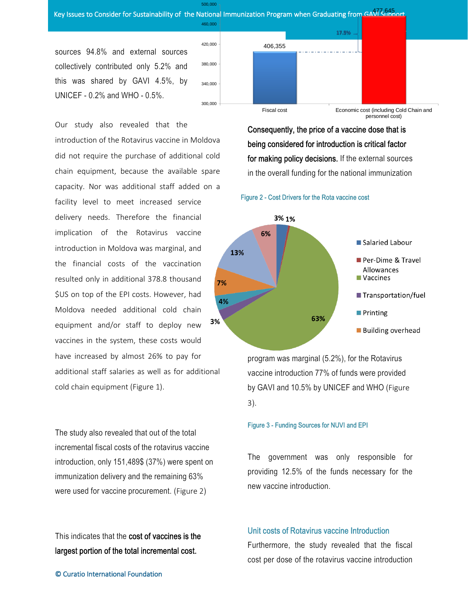# key Issues to Consider for Sustainability of the National Immunization Program when Graduating from GAVI Shaport

500,000

sources 94.8% and external sources collectively contributed only 5.2% and this was shared by GAVI 4.5%, by UNICEF - 0.2% and WHO - 0.5%.

Our study also revealed that the introduction of the Rotavirus vaccine in Moldova did not require the purchase of additional cold chain equipment, because the available spare capacity. Nor was additional staff added on a facility level to meet increased service delivery needs. Therefore the financial implication of the Rotavirus vaccine introduction in Moldova was marginal, and the financial costs of the vaccination resulted only in additional 378.8 thousand \$US on top of the EPI costs. However, had Moldova needed additional cold chain 3% equipment and/or staff to deploy new vaccines in the system, these costs would have increased by almost 26% to pay for additional staff salaries as well as for additional cold chain equipment [\(Figure 1\)](#page-1-0).

The study also revealed that out of the total incremental fiscal costs of the rotavirus vaccine introduction, only 151,489\$ (37%) were spent on immunization delivery and the remaining 63% were used for vaccine procurement. ([Figure 2](#page-2-0))

This indicates that the cost of vaccines is the largest portion of the total incremental cost.



Consequently, the price of a vaccine dose that is being considered for introduction is critical factor for making policy decisions. If the external sources in the overall funding for the national immunization

<span id="page-2-0"></span>



program was marginal (5.2%), for the Rotavirus vaccine introduction 77% of funds were provided by GAVI and 10.5% by UNICEF and WHO ([Figure](#page-2-1)  [3](#page-2-1)).

### <span id="page-2-1"></span>Figure 3 - Funding Sources for NUVI and EPI

The government was only responsible for providing 12.5% of the funds necessary for the new vaccine introduction.

### Unit costs of Rotavirus vaccine Introduction

Furthermore, the study revealed that the fiscal cost per dose of the rotavirus vaccine introduction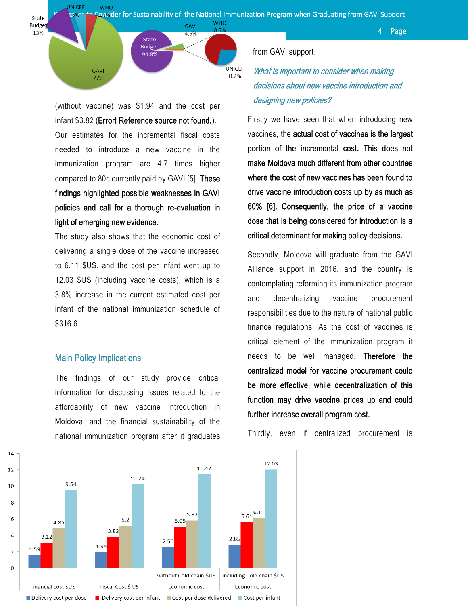

**UNICEF** 

 $0.2%$ 

**WHO** 

**GAVI** 

4.5%

 $4 |$  Page



What is important to consider when making decisions about new vaccine introduction and designing new policies?

Firstly we have seen that when introducing new vaccines, the actual cost of vaccines is the largest portion of the incremental cost. This does not make Moldova much different from other countries where the cost of new vaccines has been found to drive vaccine introduction costs up by as much as 60% [6]. Consequently, the price of a vaccine dose that is being considered for introduction is a critical determinant for making policy decisions.

Secondly, Moldova will graduate from the GAVI Alliance support in 2016, and the country is contemplating reforming its immunization program and decentralizing vaccine procurement responsibilities due to the nature of national public finance regulations. As the cost of vaccines is critical element of the immunization program it needs to be well managed. Therefore the centralized model for vaccine procurement could be more effective, while decentralization of this function may drive vaccine prices up and could further increase overall program cost.



(without vaccine) was \$1.94 and the cost per infant \$3.82 (Error! Reference source not found.). Our estimates for the incremental fiscal costs needed to introduce a new vaccine in the immunization program are 4.7 times higher compared to 80c currently paid by GAVI [5]. These findings highlighted possible weaknesses in GAVI policies and call for a thorough re-evaluation in light of emerging new evidence.

State **Budget** 94.8%

The study also shows that the economic cost of delivering a single dose of the vaccine increased to 6.11 \$US, and the cost per infant went up to 12.03 \$US (including vaccine costs), which is a 3.8% increase in the current estimated cost per infant of the national immunization schedule of \$316.6.

### Main Policy Implications

**JNICFF** 

**GAVI** 

77%

**Budge** 

13%

The findings of our study provide critical information for discussing issues related to the affordability of new vaccine introduction in Moldova, and the financial sustainability of the national immunization program after it graduates

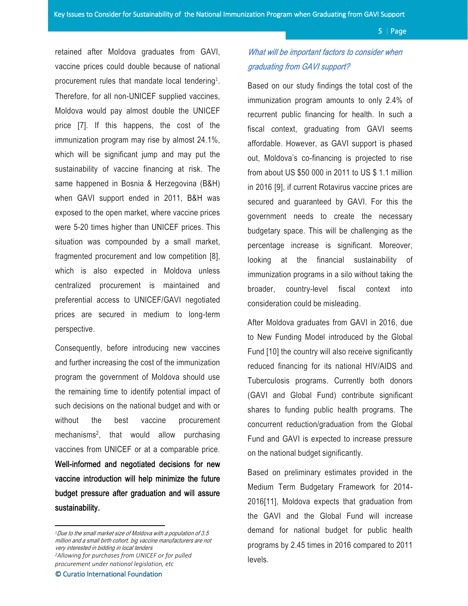retained after Moldova graduates from GAVI, vaccine prices could double because of national procurement rules that mandate local tendering<sup>1</sup>. Therefore, for all non-UNICEF supplied vaccines, Moldova would pay almost double the UNICEF price [7]. If this happens, the cost of the immunization program may rise by almost 24.1%, which will be significant jump and may put the sustainability of vaccine financing at risk. The same happened in Bosnia & Herzegovina (B&H) when GAVI support ended in 2011, B&H was exposed to the open market, where vaccine prices were 5-20 times higher than UNICEF prices. This situation was compounded by a small market, fragmented procurement and low competition [8], which is also expected in Moldova unless centralized procurement is maintained and preferential access to UNICEF/GAVI negotiated prices are secured in medium to long-term perspective.

Consequently, before introducing new vaccines and further increasing the cost of the immunization program the government of Moldova should use the remaining time to identify potential impact of such decisions on the national budget and with or without the best vaccine procurement mechanisms<sup>2</sup>, that would allow purchasing vaccines from UNICEF or at a comparable price. Well-informed and negotiated decisions for new vaccine introduction will help minimize the future budget pressure after graduation and will assure sustainability.

*<sup>2</sup>Allowing for purchases from UNICEF or for pulled procurement under national legislation, etc*

 $\overline{\phantom{a}}$ 

# What will be important factors to consider when graduating from GAVI support?

<span id="page-4-0"></span>Based on our study findings the total cost of the immunization program amounts to only 2.4% of recurrent public financing for health. In such a fiscal context, graduating from GAVI seems affordable. However, as GAVI support is phased out, Moldova's co-financing is projected to rise from about US \$50 000 in 2011 to US \$ 1.1 million in 2016 [9], if current Rotavirus vaccine prices are secured and guaranteed by GAVI. For this the government needs to create the necessary budgetary space. This will be challenging as the percentage increase is significant. Moreover, looking at the financial sustainability of immunization programs in a silo without taking the broader, country-level fiscal context into consideration could be misleading.

After Moldova graduates from GAVI in 2016, due to New Funding Model introduced by the Global Fund [10] the country will also receive significantly reduced financing for its national HIV/AIDS and Tuberculosis programs. Currently both donors (GAVI and Global Fund) contribute significant shares to funding public health programs. The concurrent reduction/graduation from the Global Fund and GAVI is expected to increase pressure on the national budget significantly.

Based on preliminary estimates provided in the Medium Term Budgetary Framework for 2014- 2016[11], Moldova expects that graduation from the GAVI and the Global Fund will increase demand for national budget for public health programs by 2.45 times in 2016 compared to 2011 levels.

*<sup>1</sup>*Due to the small market size of Moldova with a population of 3.5 million and a small birth cohort, big vaccine manufacturers are not very interested in bidding in local tenders